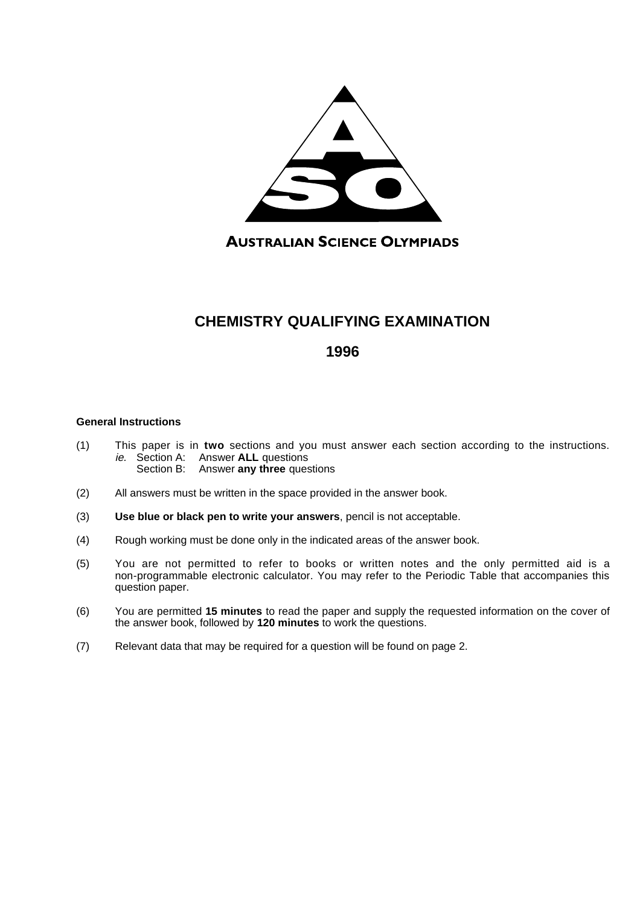

**AUSTRALIAN SCIENCE OLYMPIADS** 

# **CHEMISTRY QUALIFYING EXAMINATION**

# **1996**

### **General Instructions**

- (1) This paper is in **two** sections and you must answer each section according to the instructions. ie. Section A: Answer **ALL** questions Section B: Answer **any three** questions
- (2) All answers must be written in the space provided in the answer book.
- (3) **Use blue or black pen to write your answers**, pencil is not acceptable.
- (4) Rough working must be done only in the indicated areas of the answer book.
- (5) You are not permitted to refer to books or written notes and the only permitted aid is a non-programmable electronic calculator. You may refer to the Periodic Table that accompanies this question paper.
- (6) You are permitted **15 minutes** to read the paper and supply the requested information on the cover of the answer book, followed by **120 minutes** to work the questions.
- (7) Relevant data that may be required for a question will be found on page 2.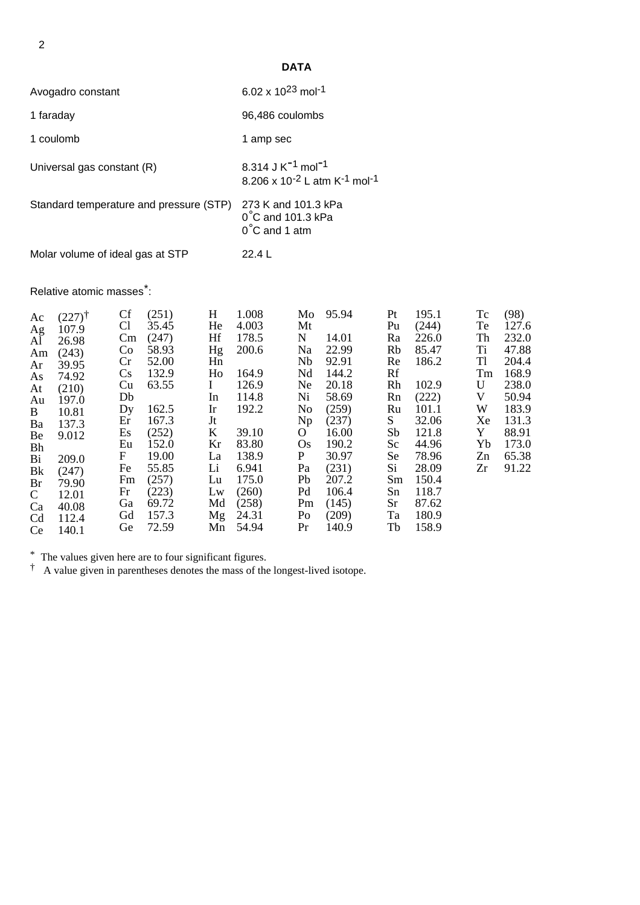**DATA**

| Avogadro constant                       | 6.02 x $10^{23}$ mol <sup>-1</sup>                                                                            |
|-----------------------------------------|---------------------------------------------------------------------------------------------------------------|
| 1 faraday                               | 96,486 coulombs                                                                                               |
| 1 coulomb                               | 1 amp sec                                                                                                     |
| Universal gas constant (R)              | 8.314 J K <sup>-1</sup> mol <sup>-1</sup><br>8.206 x 10 <sup>-2</sup> L atm K <sup>-1</sup> mol <sup>-1</sup> |
| Standard temperature and pressure (STP) | 273 K and 101.3 kPa<br>$0^{\circ}$ C and 101.3 kPa<br>$0^{\circ}$ C and 1 atm                                 |
| Molar volume of ideal gas at STP        | 22.4 L                                                                                                        |

# Relative atomic masses<sup>\*</sup>:

| Ac<br>Ag<br>Al<br>Am<br>Ar<br>As<br>At<br>Au<br>$\mathbf{B}$<br>Ba<br>Be | $(227)^{\dagger}$<br>107.9<br>26.98<br>(243)<br>39.95<br>74.92<br>(210)<br>197.0<br>10.81<br>137.3<br>9.012 | Cf<br>Cl<br>$\rm Cm$<br>Co<br>Cr<br>Cs<br>Cu<br>Db<br>Dy<br>Er<br>Es<br>Eu | (251)<br>35.45<br>(247)<br>58.93<br>52.00<br>132.9<br>63.55<br>162.5<br>167.3<br>(252)<br>152.0 | H<br>He<br>Hf<br>Hg<br>Hn<br>Ho<br>$\mathbf{I}$<br>In<br>Ir<br>Jt<br>$\mathbf{K}$<br>Kr | 1.008<br>4.003<br>178.5<br>200.6<br>164.9<br>126.9<br>114.8<br>192.2<br>39.10<br>83.80 | Mt<br>N<br>Na<br>Nb<br>Nd<br>Ne<br>Ni<br>No<br>Np<br>$\overline{O}$<br><b>Os</b> | Mo 95.94<br>14.01<br>22.99<br>92.91<br>144.2<br>20.18<br>58.69<br>(259)<br>(237)<br>16.00<br>190.2 | Pt<br>Pu<br>Ra<br>Rb<br>Re<br>Rf<br>Rh<br>Rn<br>Ru<br>S —<br>Sb<br>Sc | 195.1<br>(244)<br>226.0<br>85.47<br>186.2<br>102.9<br>(222)<br>101.1<br>32.06<br>121.8<br>44.96 | Tc<br>Te<br>Th<br>Ti<br>T1<br>Tm<br>U<br>V<br>W<br>Xe<br>Y<br>Yb | (98)<br>127.6<br>232.0<br>47.88<br>204.4<br>168.9<br>238.0<br>50.94<br>183.9<br>131.3<br>88.91<br>173.0 |
|--------------------------------------------------------------------------|-------------------------------------------------------------------------------------------------------------|----------------------------------------------------------------------------|-------------------------------------------------------------------------------------------------|-----------------------------------------------------------------------------------------|----------------------------------------------------------------------------------------|----------------------------------------------------------------------------------|----------------------------------------------------------------------------------------------------|-----------------------------------------------------------------------|-------------------------------------------------------------------------------------------------|------------------------------------------------------------------|---------------------------------------------------------------------------------------------------------|
| Bh<br>Bi<br>Bk<br>Br<br>$\mathbf{C}$<br>Ca<br>Cd<br>Ce                   | 209.0<br>(247)<br>79.90<br>12.01<br>40.08<br>112.4<br>140.1                                                 | $\mathbf{F}$<br>Fe<br>Fm<br>Fr<br>Ga<br>Gd<br>Ge                           | 19.00<br>55.85<br>(257)<br>(223)<br>69.72<br>157.3<br>72.59                                     | La<br>Li<br>Lu<br>Lw<br>Md                                                              | 138.9<br>6.941<br>175.0<br>(260)<br>(258)<br>Mg 24.31<br>Mn 54.94                      | P<br>Pa<br>Pb<br>Pd<br>Pm<br>P <sub>O</sub><br>Pr                                | 30.97<br>(231)<br>207.2<br>106.4<br>(145)<br>(209)<br>140.9                                        | Se<br>Si<br>Sm<br>Sn<br>Sr<br>Ta<br>Tb                                | 78.96<br>28.09<br>150.4<br>118.7<br>87.62<br>180.9<br>158.9                                     | Zn<br>Zr                                                         | 65.38<br>91.22                                                                                          |

\* The values given here are to four significant figures.

† A value given in parentheses denotes the mass of the longest-lived isotope.

2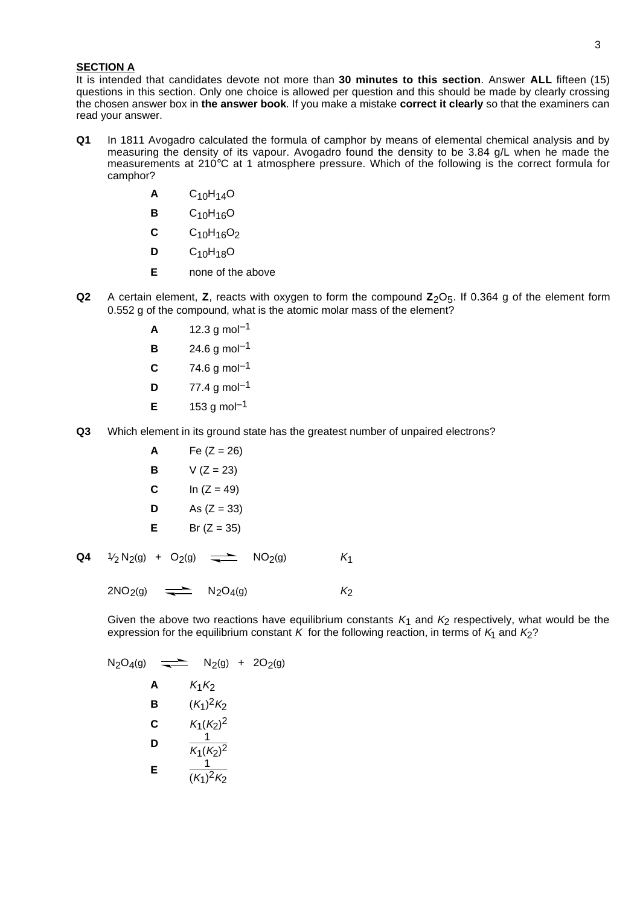#### **SECTION A**

It is intended that candidates devote not more than **30 minutes to this section**. Answer **ALL** fifteen (15) questions in this section. Only one choice is allowed per question and this should be made by clearly crossing the chosen answer box in **the answer book**. If you make a mistake **correct it clearly** so that the examiners can read your answer.

- **Q1** In 1811 Avogadro calculated the formula of camphor by means of elemental chemical analysis and by measuring the density of its vapour. Avogadro found the density to be 3.84 g/L when he made the measurements at 210°C at 1 atmosphere pressure. Which of the following is the correct formula for camphor?
	- **A** C10H14O
	- **B** C10H16O
	- **C** C<sub>10</sub>H<sub>16</sub>O<sub>2</sub>
	- **D** C10H18O
	- **E** none of the above
- **Q2** A certain element, **Z**, reacts with oxygen to form the compound **Z**<sub>2</sub>O<sub>5</sub>. If 0.364 g of the element form 0.552 g of the compound, what is the atomic molar mass of the element?
	- $A = 12.3$  g mol<sup>-1</sup>
	- **B** 24.6 g mol<sup>-1</sup>
	- $C = 74.6$  g mol<sup>-1</sup>
	- **D**  $77.4 \text{ g mol}^{-1}$
	- **E**  $153 \text{ a mol}^{-1}$
- **Q3** Which element in its ground state has the greatest number of unpaired electrons?

**A** Fe (Z = 26) **B** V (Z = 23) **C** In (Z = 49) **D** As (Z = 33) **E** Br (Z = 35)

**Q4** 1⁄  $\frac{1}{2}$  N<sub>2</sub>(g) + O<sub>2</sub>(g)  $\implies$  NO<sub>2</sub>(g) K<sub>1</sub>

 $2NO_2(q)$   $\longrightarrow$   $N_2O_4(q)$  K<sub>2</sub>

Given the above two reactions have equilibrium constants  $K_1$  and  $K_2$  respectively, what would be the expression for the equilibrium constant K for the following reaction, in terms of  $K_1$  and  $K_2$ ?

N<sub>2</sub>O<sub>4</sub>(g)   
\nA 
$$
K_1K_2
$$
  
\nB  $(K_1)^2K_2$   
\nC  $K_1(K_2)^2$   
\nD  $\frac{1}{K_1(K_2)^2}$   
\nE  $\frac{1}{(K_1)^2K_2}$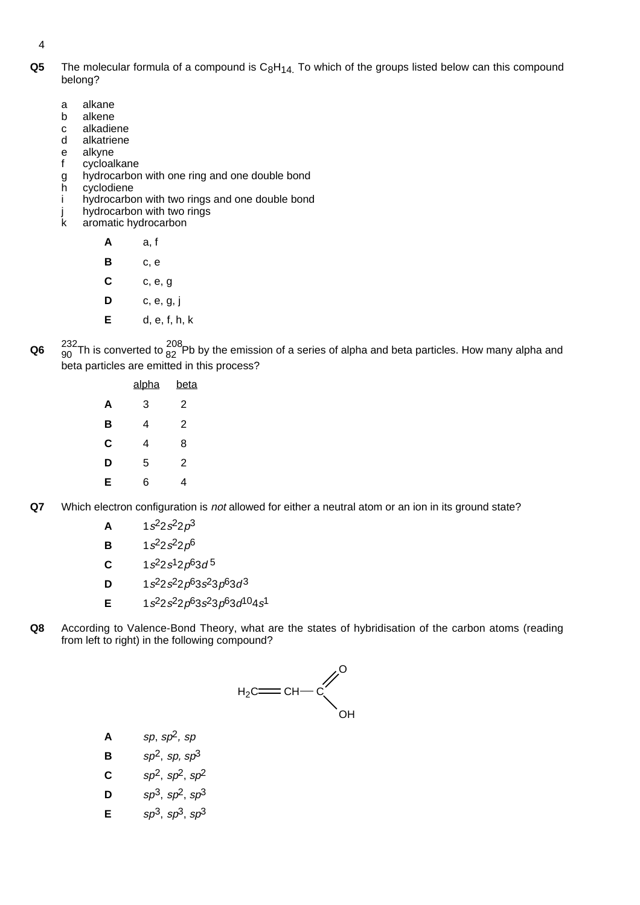4

- **Q5** The molecular formula of a compound is C<sub>8</sub>H<sub>14</sub>. To which of the groups listed below can this compound belong?
	- a alkane
	- b alkene
	- c alkadiene
	- d alkatriene
	- e alkyne f cycloalkane
	- g hydrocarbon with one ring and one double bond<br>h cyclodiene
	- cyclodiene
	- i hydrocarbon with two rings and one double bond
	- j hydrocarbon with two rings<br>k aromatic hydrocarbon
		- aromatic hydrocarbon

**A** a, f

- **B** c, e
- **C** c, e, g
- **D** c, e, g, j
- **E** d, e, f, h, k
- **Q6**  $\frac{232}{90}$ Th is converted to  $\frac{208}{82}$ Pb by the emission of a series of alpha and beta particles. How many alpha and beta particles are emitted in this process?

|   | <u>alpha</u> | beta           |
|---|--------------|----------------|
| A | 3            | 2              |
| в | 4            | 2              |
| C | 4            | 8              |
| D | 5            | $\overline{2}$ |
| E | 6            | 4              |

**Q7** Which electron configuration is not allowed for either a neutral atom or an ion in its ground state?

- **A**  $1s^2 2s^2 2p^3$
- **B**  $1s^2 2s^2 2p^6$
- **C**  $1s^22s^12p^63d^5$
- **D**  $1s^2 2s^2 2p^6 3s^2 3p^6 3d^3$
- **E**  $1s^2 2s^2 2p^6 3s^2 3p^6 3d^{10} 4s^1$
- **Q8** According to Valence-Bond Theory, what are the states of hybridisation of the carbon atoms (reading from left to right) in the following compound?



- $\mathsf{A}$  sp,  $sp^2$ , sp
- **B**  $sp^2$ , sp,  $sp^3$
- **C**  $sp^2$ ,  $sp^2$ ,  $sp^2$
- **D**  $sp^3$ ,  $sp^2$ ,  $sp^3$
- **E**  $\{5p^3, 5p^3, 5p^3\}$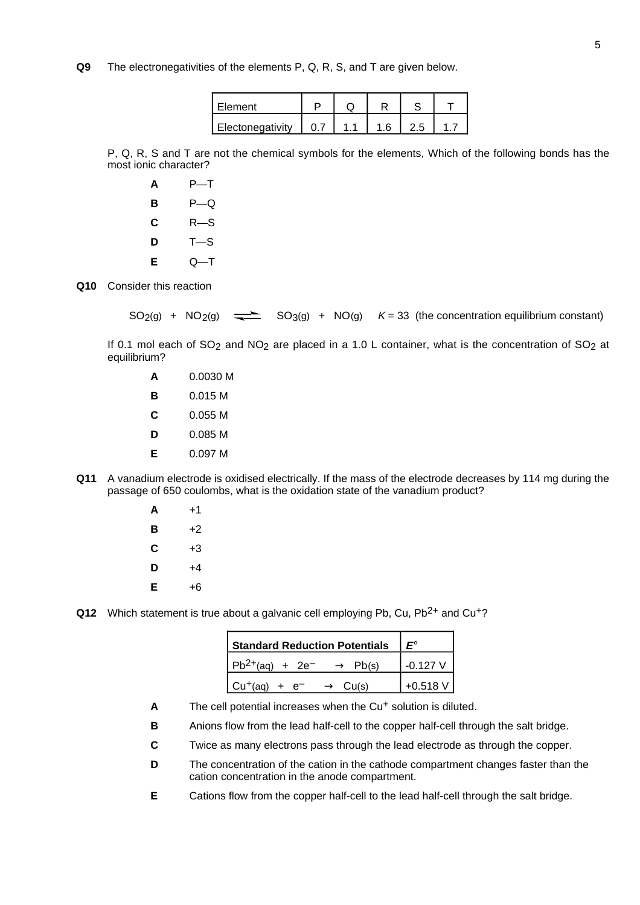### **Q9** The electronegativities of the elements P, Q, R, S, and T are given below.

| Element          |  |  |  |
|------------------|--|--|--|
| Electonegativity |  |  |  |

P, Q, R, S and T are not the chemical symbols for the elements, Which of the following bonds has the most ionic character?

| A | P—T.   |
|---|--------|
| в | $P$ —Q |
| С | R—S    |
| D | T—S    |
| Е | Q—T    |

**Q10** Consider this reaction

 $SO_2(g)$  +  $NO_2(g)$   $\rightleftharpoons$   $SO_3(g)$  +  $NO(g)$   $K = 33$  (the concentration equilibrium constant)

If 0.1 mol each of  $SO_2$  and  $NO_2$  are placed in a 1.0 L container, what is the concentration of  $SO_2$  at equilibrium?

|   | 0 0030 M |
|---|----------|
| в | 0.015 M  |
| С | 0.055 M  |
| D | 0.085 M  |
| Е | 0 097 M  |
|   |          |

- **Q11** A vanadium electrode is oxidised electrically. If the mass of the electrode decreases by 114 mg during the passage of 650 coulombs, what is the oxidation state of the vanadium product?
	- **A** +1 **B** +2  $C +3$  $\mathsf{D}$  +4 **E** +6

**Q12** Which statement is true about a galvanic cell employing Pb, Cu, Pb<sup>2+</sup> and Cu<sup>+</sup>?

| <b>Standard Reduction Potentials</b>                                         |            |
|------------------------------------------------------------------------------|------------|
| $Pb^{2+}(aq) + 2e^- \longrightarrow Pb(s)$                                   | $-0.127$ V |
| $\begin{bmatrix} Cu^+(aq) & + & e^- & \longrightarrow & Cu(s) \end{bmatrix}$ | $+0.518 V$ |

- A The cell potential increases when the Cu<sup>+</sup> solution is diluted.
- **B** Anions flow from the lead half-cell to the copper half-cell through the salt bridge.
- **C** Twice as many electrons pass through the lead electrode as through the copper.
- **D** The concentration of the cation in the cathode compartment changes faster than the cation concentration in the anode compartment.
- **E** Cations flow from the copper half-cell to the lead half-cell through the salt bridge.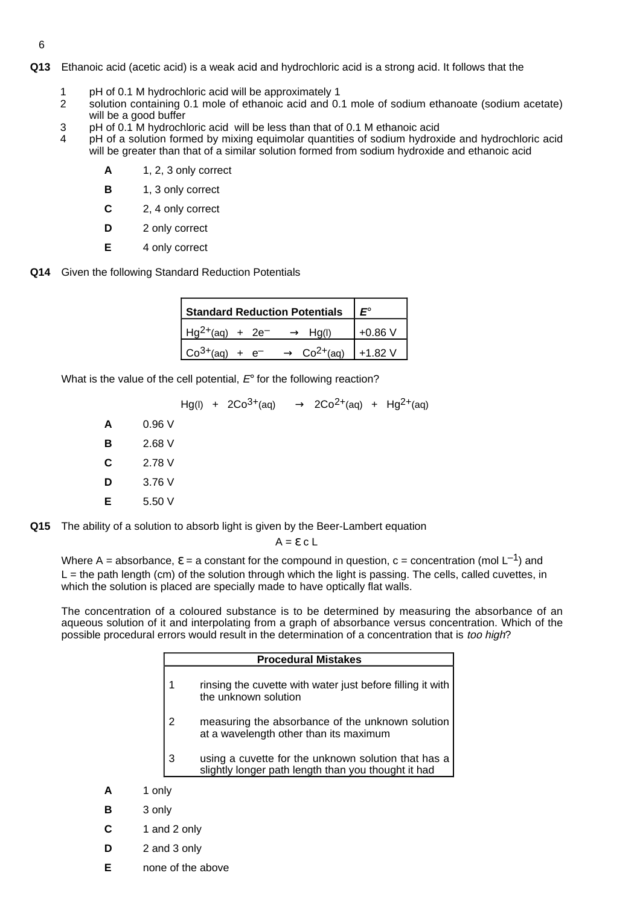- **Q13** Ethanoic acid (acetic acid) is a weak acid and hydrochloric acid is a strong acid. It follows that the
	- 1 pH of 0.1 M hydrochloric acid will be approximately 1<br>2 solution containing 0.1 mole of ethanoic acid and 0.
	- solution containing 0.1 mole of ethanoic acid and 0.1 mole of sodium ethanoate (sodium acetate) will be a good buffer
	- 3 pH of 0.1 M hydrochloric acid will be less than that of 0.1 M ethanoic acid<br>4 bH of a solution formed by mixing equimolar quantities of sodium bydrox
		- pH of a solution formed by mixing equimolar quantities of sodium hydroxide and hydrochloric acid will be greater than that of a similar solution formed from sodium hydroxide and ethanoic acid
			- **A** 1, 2, 3 only correct
			- **B** 1, 3 only correct
			- **C** 2, 4 only correct
			- **D** 2 only correct
			- **E** 4 only correct
- **Q14** Given the following Standard Reduction Potentials

| <b>Standard Reduction Potentials</b>                |              |
|-----------------------------------------------------|--------------|
| $Hq^{2+}(aq) + 2e^ \longrightarrow$                 | $+0.86V$     |
| $Co3+(aq)$<br>$Co2+(aq)$<br>$+ e^- \longrightarrow$ | $1 + 1.82$ V |

What is the value of the cell potential,  $E<sup>°</sup>$  for the following reaction?

 $Hg(1)$  + 2Co<sup>3+</sup>(aq)  $\longrightarrow$  2Co<sup>2+</sup>(aq) + Hg<sup>2+</sup>(aq) **A** 0.96 V **B** 2.68 V **C** 2.78 V **D** 3.76 V **E** 5.50 V

**Q15** The ability of a solution to absorb light is given by the Beer-Lambert equation

 $A = \varepsilon c L$ 

Where A = absorbance,  $\varepsilon$  = a constant for the compound in question, c = concentration (mol L<sup>-1</sup>) and  $L =$  the path length (cm) of the solution through which the light is passing. The cells, called cuvettes, in which the solution is placed are specially made to have optically flat walls.

The concentration of a coloured substance is to be determined by measuring the absorbance of an aqueous solution of it and interpolating from a graph of absorbance versus concentration. Which of the possible procedural errors would result in the determination of a concentration that is too high?

|   |              | <b>Procedural Mistakes</b>                                                                                 |
|---|--------------|------------------------------------------------------------------------------------------------------------|
|   |              | rinsing the cuvette with water just before filling it with<br>the unknown solution                         |
|   | 2            | measuring the absorbance of the unknown solution<br>at a wavelength other than its maximum                 |
|   | 3            | using a cuvette for the unknown solution that has a<br>slightly longer path length than you thought it had |
| А | 1 only       |                                                                                                            |
| в | 3 only       |                                                                                                            |
|   | 1 and 2 only |                                                                                                            |

**C** 1 and 2 only

- **D** 2 and 3 only
- **E** none of the above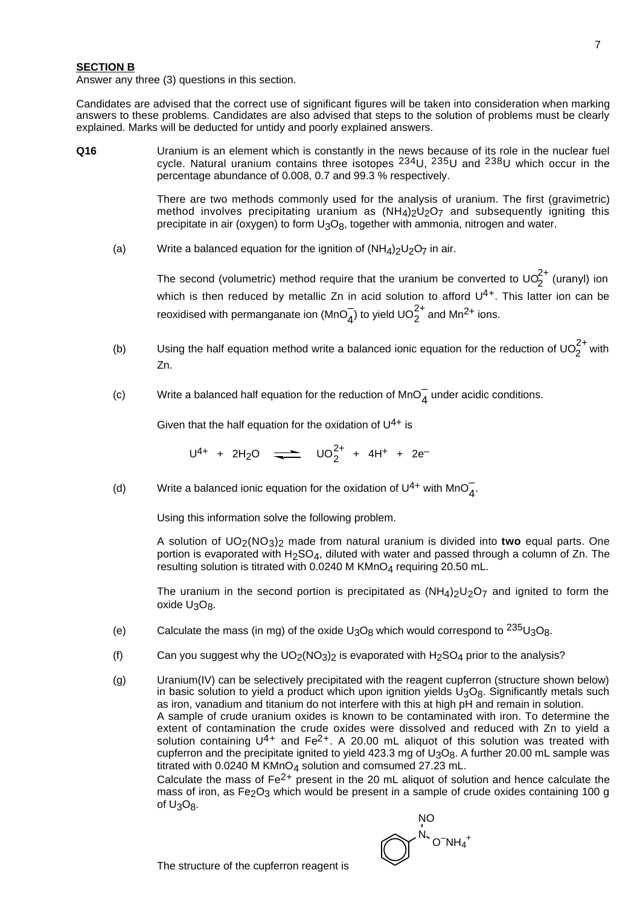#### **SECTION B**

Answer any three (3) questions in this section.

Candidates are advised that the correct use of significant figures will be taken into consideration when marking answers to these problems. Candidates are also advised that steps to the solution of problems must be clearly explained. Marks will be deducted for untidy and poorly explained answers.

**Q16** Uranium is an element which is constantly in the news because of its role in the nuclear fuel cycle. Natural uranium contains three isotopes  $^{234}$ U,  $^{235}$ U and  $^{238}$ U which occur in the percentage abundance of 0.008, 0.7 and 99.3 % respectively.

> There are two methods commonly used for the analysis of uranium. The first (gravimetric) method involves precipitating uranium as  $(NH_4)_2U_2O_7$  and subsequently igniting this precipitate in air (oxygen) to form U<sub>3</sub>O<sub>8</sub>, together with ammonia, nitrogen and water.

(a) Write a balanced equation for the ignition of  $(NH_4)_2U_2O_7$  in air.

The second (volumetric) method require that the uranium be converted to UO $_2^{2+}$  (uranyl) ion which is then reduced by metallic Zn in acid solution to afford  $U^{4+}$ . This latter ion can be reoxidised with permanganate ion (MnO $_4^-$ ) to yield UO $_2^{2+}$  and Mn<sup>2+</sup> ions.

- (b) Using the half equation method write a balanced ionic equation for the reduction of UO $_2^{2+}$  with Zn.
- (c) Write a balanced half equation for the reduction of MnO $_4^-$  under acidic conditions.

Given that the half equation for the oxidation of  $U^{4+}$  is

 $U^{4+}$  + 2H<sub>2</sub>O  $\longrightarrow$   $UO_2^{2+}$  + 4H<sup>+</sup> + 2e<sup>-</sup>

(d) Write a balanced ionic equation for the oxidation of U<sup>4+</sup> with MnO<sub>4</sub>.

Using this information solve the following problem.

A solution of UO2(NO3)2 made from natural uranium is divided into **two** equal parts. One portion is evaporated with  $H_2SO_4$ , diluted with water and passed through a column of Zn. The resulting solution is titrated with  $0.0240$  M KMnO<sub>4</sub> requiring 20.50 mL.

The uranium in the second portion is precipitated as  $(NH<sub>4</sub>)<sub>2</sub>U<sub>2</sub>O<sub>7</sub>$  and ignited to form the oxide U<sub>3</sub>O<sub>8</sub>.

- (e) Calculate the mass (in mg) of the oxide  $U_3O_8$  which would correspond to  $^{235}U_3O_8$ .
- (f) Can you suggest why the  $UO_2(NO_3)_2$  is evaporated with  $H_2SO_4$  prior to the analysis?
- (g) Uranium(IV) can be selectively precipitated with the reagent cupferron (structure shown below) in basic solution to yield a product which upon ignition yields  $U_3O_8$ . Significantly metals such as iron, vanadium and titanium do not interfere with this at high pH and remain in solution. A sample of crude uranium oxides is known to be contaminated with iron. To determine the extent of contamination the crude oxides were dissolved and reduced with Zn to yield a solution containing  $U^{4+}$  and  $Fe^{2+}$ . A 20.00 mL aliquot of this solution was treated with cupferron and the precipitate ignited to yield  $423.3$  mg of  $U<sub>3</sub>O<sub>8</sub>$ . A further 20.00 mL sample was titrated with 0.0240 M KMnO<sub>4</sub> solution and comsumed 27.23 mL. Calculate the mass of  $Fe<sup>2+</sup>$  present in the 20 mL aliquot of solution and hence calculate the mass of iron, as Fe<sub>2</sub>O<sub>3</sub> which would be present in a sample of crude oxides containing 100 g of U3O8.

$$
\bigotimes\nolimits^{\text{NO}}^{N_{\text{*}}}\text{O}^{-\text{NH}_4{}^+}
$$

The structure of the cupferron reagent is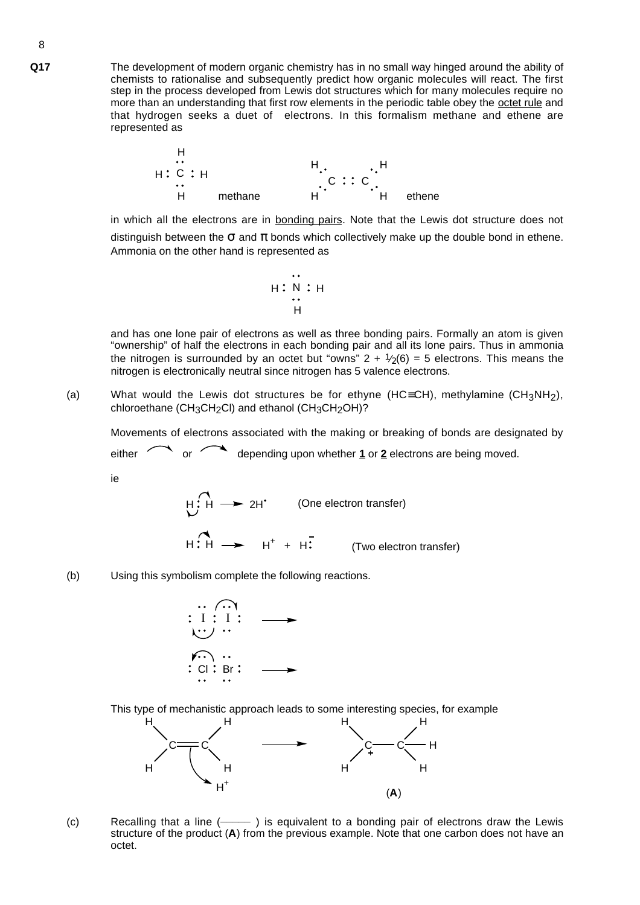**Q17** The development of modern organic chemistry has in no small way hinged around the ability of chemists to rationalise and subsequently predict how organic molecules will react. The first step in the process developed from Lewis dot structures which for many molecules require no more than an understanding that first row elements in the periodic table obey the octet rule and that hydrogen seeks a duet of electrons. In this formalism methane and ethene are represented as



in which all the electrons are in bonding pairs. Note that the Lewis dot structure does not distinguish between the  $\sigma$  and  $\pi$  bonds which collectively make up the double bond in ethene. Ammonia on the other hand is represented as

$$
\begin{array}{c}\n\cdot \\
\vdots \\
\vdots \\
\vdots \\
\vdots \\
\vdots \\
\vdots\n\end{array}
$$

and has one lone pair of electrons as well as three bonding pairs. Formally an atom is given "ownership" of half the electrons in each bonding pair and all its lone pairs. Thus in ammonia the nitrogen is surrounded by an octet but "owns" 2 +  $1/2(6)$  = 5 electrons. This means the nitrogen is electronically neutral since nitrogen has 5 valence electrons.

(a) What would the Lewis dot structures be for ethyne (HC≡CH), methylamine (CH<sub>3</sub>NH<sub>2</sub>), chloroethane (CH<sub>3</sub>CH<sub>2</sub>Cl) and ethanol (CH<sub>3</sub>CH<sub>2</sub>OH)?

Movements of electrons associated with the making or breaking of bonds are designated by

either or depending upon whether **1** or **2** electrons are being moved.

ie

 $\blacktriangleright$  2H<sup> $\bullet$ </sup> (One electron transfer)  $H : H \rightarrow H^+ + H$ (Two electron transfer)

(b) Using this symbolism complete the following reactions.



This type of mechanistic approach leads to some interesting species, for example



(c) Recalling that a line (**\_\_\_\_\_** ) is equivalent to a bonding pair of electrons draw the Lewis structure of the product (**A**) from the previous example. Note that one carbon does not have an octet.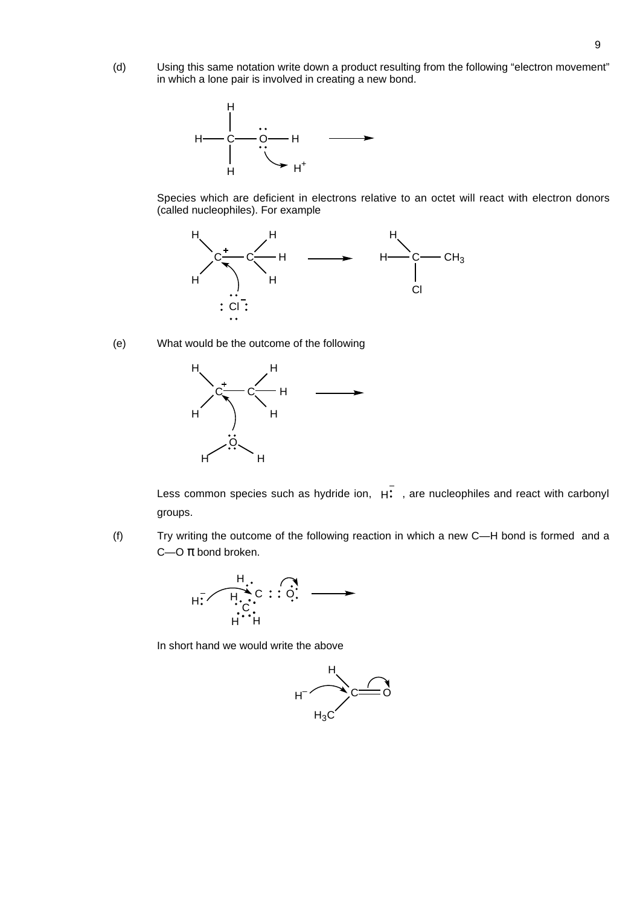(d) Using this same notation write down a product resulting from the following "electron movement" in which a lone pair is involved in creating a new bond.



Species which are deficient in electrons relative to an octet will react with electron donors (called nucleophiles). For example



(e) What would be the outcome of the following



Less common species such as hydride ion,  $H^2$ , are nucleophiles and react with carbonyl groups.

(f) Try writing the outcome of the following reaction in which a new C—H bond is formed and a C- $O \pi$  bond broken.



In short hand we would write the above

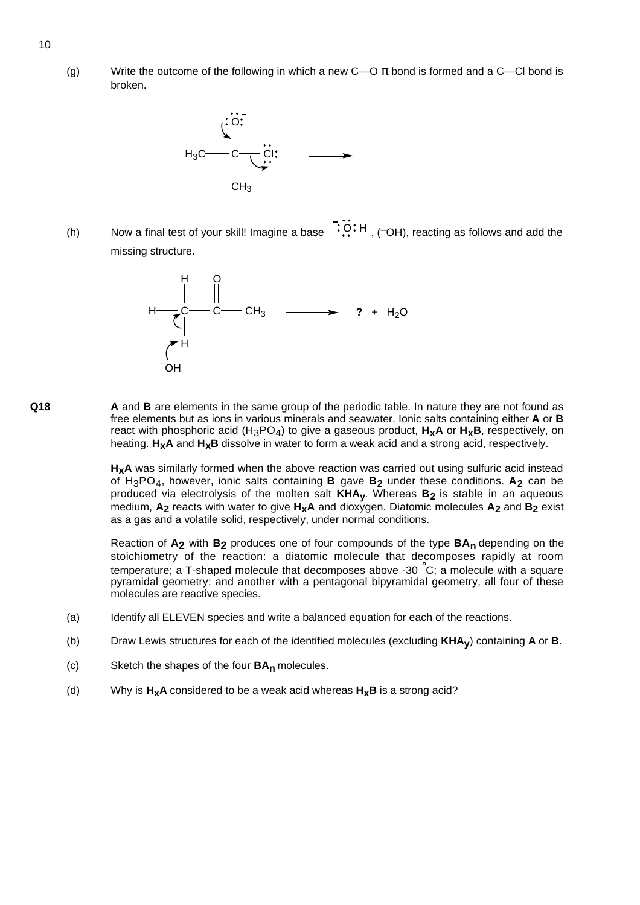(g) Write the outcome of the following in which a new  $C$ — $\sigma$   $\pi$  bond is formed and a  $C$ — $Cl$  bond is broken.



(h) Now a final test of your skill! Imagine a base  $\ddot{O}$ . H, (–OH), reacting as follows and add the missing structure.



**Q18 A** and **B** are elements in the same group of the periodic table. In nature they are not found as free elements but as ions in various minerals and seawater. Ionic salts containing either **A** or **B** react with phosphoric acid (H<sub>3</sub>PO<sub>4</sub>) to give a gaseous product,  $H_XA$  or  $H_XB$ , respectively, on heating. **HxA** and **HxB** dissolve in water to form a weak acid and a strong acid, respectively.

> H<sub>x</sub>A was similarly formed when the above reaction was carried out using sulfuric acid instead of H3PO4, however, ionic salts containing **B** gave **B2** under these conditions. **A2** can be produced via electrolysis of the molten salt **KHAy**. Whereas **B2** is stable in an aqueous medium, **A2** reacts with water to give **HxA** and dioxygen. Diatomic molecules **A2** and **B2** exist as a gas and a volatile solid, respectively, under normal conditions.

> Reaction of **A2** with **B2** produces one of four compounds of the type **BAn** depending on the stoichiometry of the reaction: a diatomic molecule that decomposes rapidly at room temperature; a T-shaped molecule that decomposes above -30  $^{\circ}$ C; a molecule with a square pyramidal geometry; and another with a pentagonal bipyramidal geometry, all four of these molecules are reactive species.

- (a) Identify all ELEVEN species and write a balanced equation for each of the reactions.
- (b) Draw Lewis structures for each of the identified molecules (excluding **KHAy**) containing **A** or **B**.
- (c) Sketch the shapes of the four **BAn** molecules.
- (d) Why is  $H_{x}A$  considered to be a weak acid whereas  $H_{x}B$  is a strong acid?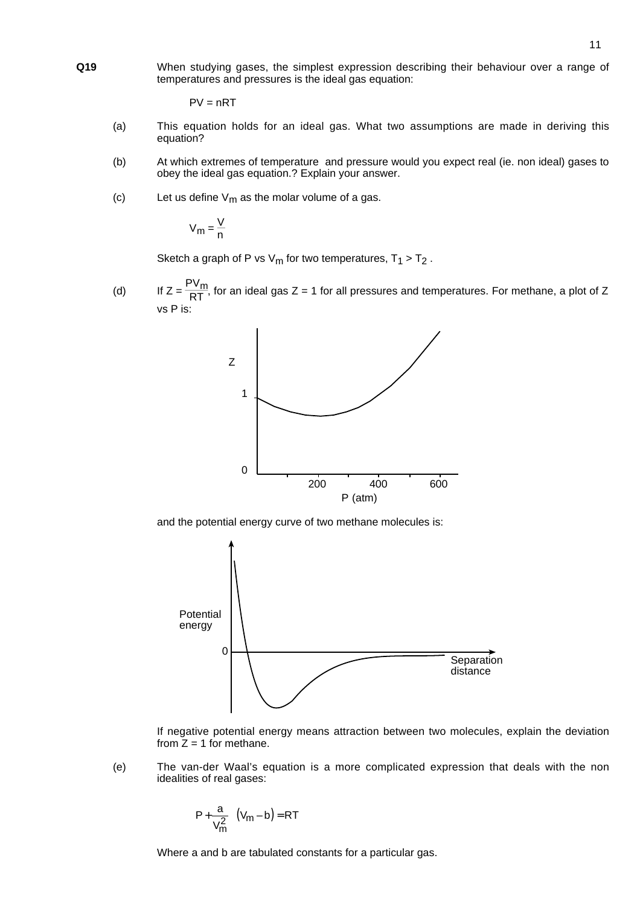**Q19** When studying gases, the simplest expression describing their behaviour over a range of temperatures and pressures is the ideal gas equation:

 $PV = nRT$ 

- (a) This equation holds for an ideal gas. What two assumptions are made in deriving this equation?
- (b) At which extremes of temperature and pressure would you expect real (ie. non ideal) gases to obey the ideal gas equation.? Explain your answer.
- (c) Let us define  $V_m$  as the molar volume of a gas.

$$
V_m = \frac{V}{n}
$$

Sketch a graph of P vs  $V_m$  for two temperatures,  $T_1 > T_2$ .

(d) If  $Z = \frac{PV_m}{RT}$ , for an ideal gas Z = 1 for all pressures and temperatures. For methane, a plot of Z vs P is:



and the potential energy curve of two methane molecules is:



If negative potential energy means attraction between two molecules, explain the deviation from  $\bar{Z} = 1$  for methane.

(e) The van-der Waal's equation is a more complicated expression that deals with the non idealities of real gases:

$$
\left(P + \frac{a}{V_m^2}\right)(V_m - b) = RT
$$

Where a and b are tabulated constants for a particular gas.